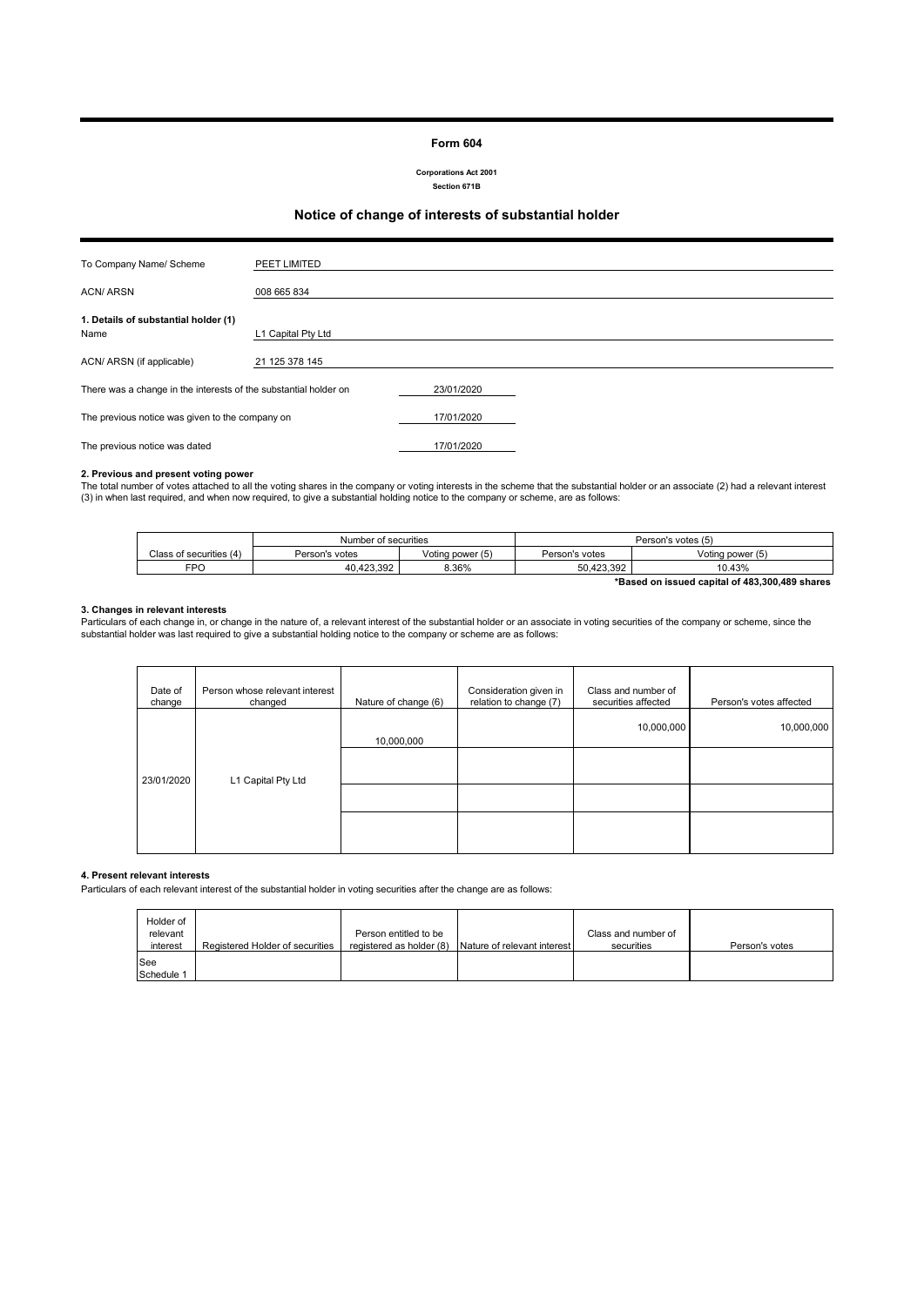#### **Form 604**

**Corporations Act 2001 Section 671B**

### **Notice of change of interests of substantial holder**

| To Company Name/ Scheme                                          | PEET LIMITED       |            |  |
|------------------------------------------------------------------|--------------------|------------|--|
|                                                                  |                    |            |  |
| <b>ACN/ARSN</b>                                                  | 008 665 834        |            |  |
|                                                                  |                    |            |  |
| 1. Details of substantial holder (1)                             |                    |            |  |
| Name                                                             | L1 Capital Pty Ltd |            |  |
|                                                                  |                    |            |  |
| ACN/ ARSN (if applicable)                                        | 21 125 378 145     |            |  |
|                                                                  |                    |            |  |
| There was a change in the interests of the substantial holder on |                    | 23/01/2020 |  |
|                                                                  |                    |            |  |
| The previous notice was given to the company on                  |                    | 17/01/2020 |  |
|                                                                  |                    |            |  |
| The previous notice was dated                                    |                    | 17/01/2020 |  |

#### **2. Previous and present voting power**

The total number of votes attached to all the voting shares in the company or voting interests in the scheme that the substantial holder or an associate (2) had a relevant interest<br>(3) in when last required, and when now r

|                                                | Number of securities |                  | Person's votes (5) |                  |
|------------------------------------------------|----------------------|------------------|--------------------|------------------|
| Class of securities (4)                        | Person's votes       | Voting power (5) | Person's votes     | Voting power (5) |
| FPO                                            | 40.423.392           | 8.36%            | 50.423.392         | 10.43%           |
| *Based on issued capital of 483,300,489 shares |                      |                  |                    |                  |

#### **3. Changes in relevant interests**

Particulars of each change in, or change in the nature of, a relevant interest of the substantial holder or an associate in voting securities of the company or scheme, since the<br>substantial holder was last required to give

| Date of<br>change                | Person whose relevant interest<br>changed | Nature of change (6) | Consideration given in<br>relation to change (7) | Class and number of<br>securities affected | Person's votes affected |
|----------------------------------|-------------------------------------------|----------------------|--------------------------------------------------|--------------------------------------------|-------------------------|
| L1 Capital Pty Ltd<br>23/01/2020 |                                           | 10,000,000           |                                                  | 10,000,000                                 | 10,000,000              |
|                                  |                                           |                      |                                                  |                                            |                         |
|                                  |                                           |                      |                                                  |                                            |                         |
|                                  |                                           |                      |                                                  |                                            |                         |

#### **4. Present relevant interests**

Particulars of each relevant interest of the substantial holder in voting securities after the change are as follows:

| Holder of<br>relevant<br>interest | Registered Holder of securities | Person entitled to be<br>registered as holder (8) | Nature of relevant interest | Class and number of<br>securities | Person's votes |
|-----------------------------------|---------------------------------|---------------------------------------------------|-----------------------------|-----------------------------------|----------------|
| <b>See</b><br>Schedule 1          |                                 |                                                   |                             |                                   |                |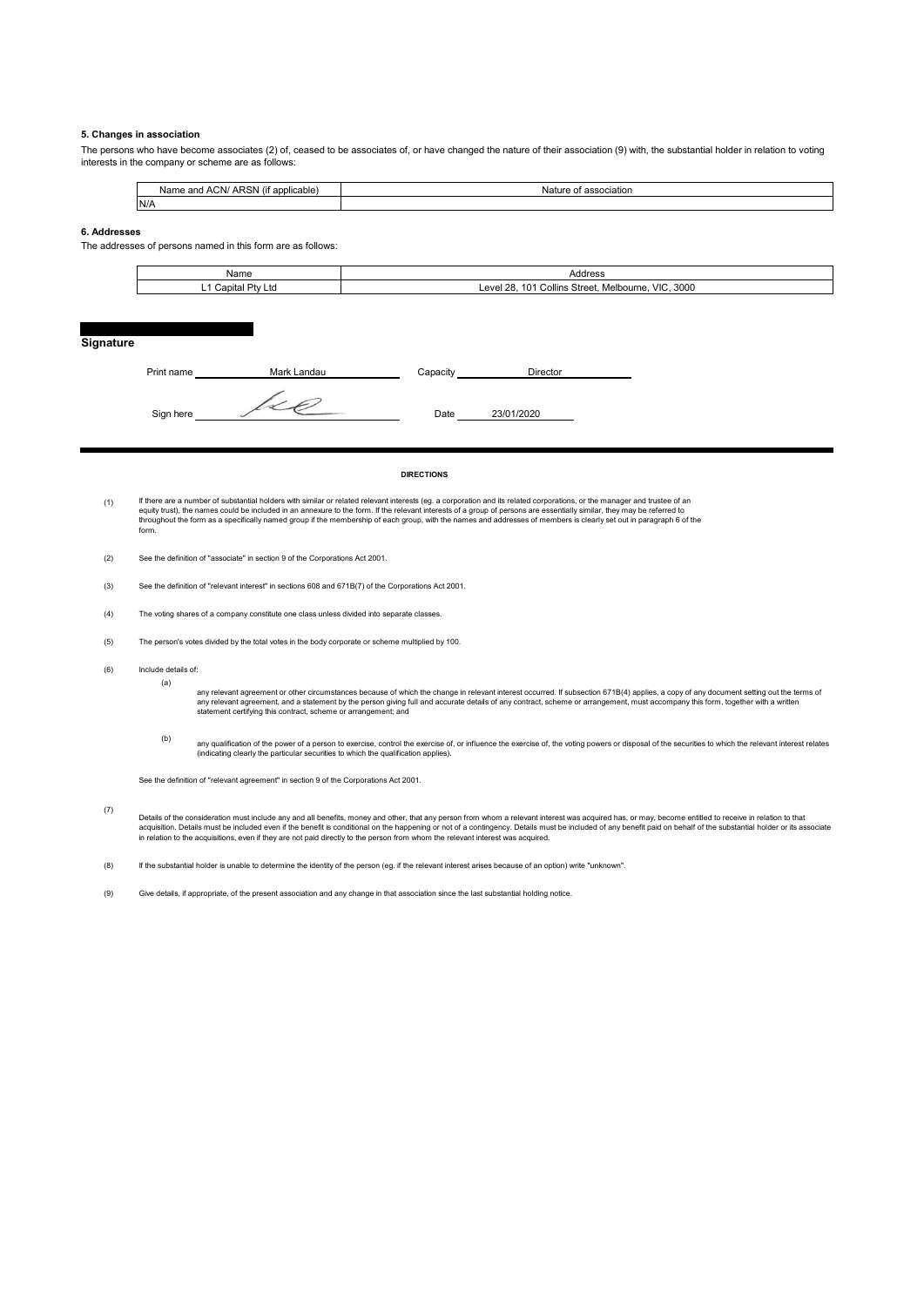#### **5. Changes in association**

The persons who have become associates (2) of, ceased to be associates of, or have changed the nature of their association (9) with, the substantial holder in relation to voting interests in the company or scheme are as follows:

| ARSN (if applicable) | association |
|----------------------|-------------|
| Name and ACN/,       | Nature of   |
| N/A                  |             |

#### **6. Addresses**

The addresses of persons named in this form are as follows:

| Name                              | Address                                                                                   |
|-----------------------------------|-------------------------------------------------------------------------------------------|
| Ltd<br>D÷<br>`onito<br>лы.<br>. . | 3000<br><br><b>VIC</b><br>28<br>40.<br>;Street.<br>امµہ<br>. Melbourne.<br>Collins<br>–≂" |

#### **Signature**

| Print name | Mark Landau | Capacity | Director   |  |
|------------|-------------|----------|------------|--|
| Sign here  |             | Date     | 23/01/2020 |  |

#### **DIRECTIONS**

- (1) lf there are a number of substantial holders with similar or related relevant interests (eg. a corporation and its related corporations, or the manager and trustee of ar<br>equity trust), the names could be included in an ann throughout the form as a specifically named group if the membership of each group, with the names and addresses of members is clearly set out in paragraph 6 of the form.
- (2) See the definition of "associate" in section 9 of the Corporations Act 2001.
- (3) See the definition of "relevant interest" in sections 608 and 671B(7) of the Corporations Act 2001.
- (4) The voting shares of a company constitute one class unless divided into separate classes.
- (5) The person's votes divided by the total votes in the body corporate or scheme multiplied by 100.
- (6) Include details of:

(a)

any relevant agreement or other circumstances because of which the change in relevant interest occurred. If subsection 671B(4) applies, a copy of any document setting out the terms of<br>any relevant agreement, and a statemen

(b) any qualification of the power of a person to exercise, control the exercise of, or influence the exercise of, the voting powers or disposal of the securities to which the relevant interest relates<br>(indicating clearly the

See the definition of "relevant agreement" in section 9 of the Corporations Act 2001.

(7) Details of the consideration must include any and all benefits, money and other, that any person from whom a relevant interest was acquired has, or may, become entitled to receive in relation to that<br>acquistion. Details mu

(8) If the substantial holder is unable to determine the identity of the person (eg. if the relevant interest arises because of an option) write "unknown".

(9) Give details, if appropriate, of the present association and any change in that association since the last substantial holding notice.